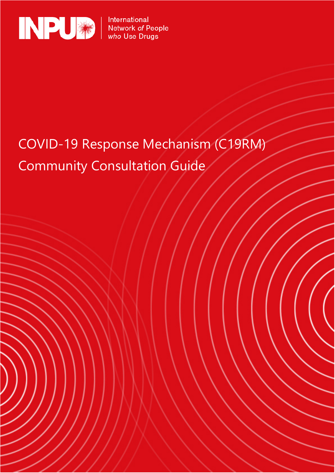

International Network of People<br>who Use Drugs

# COVID-19 Response Mechanism (C19RM) Community Consultation Guide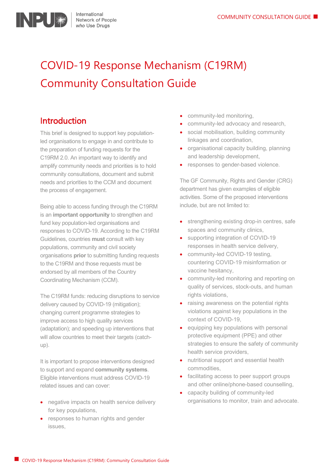

## COVID-19 Response Mechanism (C19RM) Community Consultation Guide

### Introduction

This brief is designed to support key populationled organisations to engage in and contribute to the preparation of funding requests for the C19RM 2.0. An important way to identify and amplify community needs and priorities is to hold community consultations, document and submit needs and priorities to the CCM and document the process of engagement.

Being able to access funding through the C19RM is an **important opportunity** to strengthen and fund key population-led organisations and responses to COVID-19. According to the [C19RM](about:blank)  [Guidelines,](about:blank) countries **must** consult with key populations, community and civil society organisations **prior** to submitting funding requests to the C19RM and those requests must be endorsed by all members of the Country Coordinating Mechanism (CCM).

The C19RM funds: reducing disruptions to service delivery caused by COVID-19 [\(mitigation\)](about:blank); changing current programme strategies to improve access to high quality services (adaptation); and speeding up interventions that will allow countries to meet their targets (catchup).

It is important to propose interventions designed to support and expand **community systems**. Eligible interventions must address COVID-19 related issues and can cover:

- negative impacts on health service delivery for key populations,
- responses to human rights and gender issues,
- community-led monitoring,
- community-led advocacy and research,
- social mobilisation, building community linkages and coordination,
- organisational capacity building, planning and leadership development,
- responses to gender-based violence.

The GF Community, Rights and Gender (CRG) department has given [examples](about:blank) of eligible activities. Some of the proposed interventions include, but are not limited to:

- strengthening existing drop-in centres, safe spaces and community clinics,
- supporting integration of COVID-19 responses in health service delivery,
- community-led COVID-19 testing, countering COVID-19 misinformation or vaccine hesitancy,
- community-led monitoring and reporting on quality of services, stock-outs, and human rights violations,
- raising awareness on the potential rights violations against key populations in the context of COVID-19,
- equipping key populations with personal protective equipment (PPE) and other strategies to ensure the safety of community health service providers,
- nutritional support and essential health commodities,
- facilitating access to peer support groups and other online/phone-based counselling,
- capacity building of community-led organisations to monitor, train and advocate.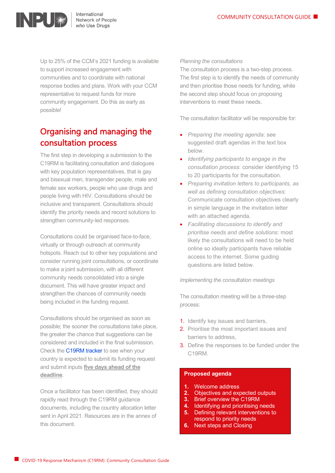

International Network of People who Use Drugs

Up to 25% of the CCM's 2021 funding is available to support increased engagement with communities and to coordinate with national response bodies and plans. Work with your CCM representative to request funds for more community engagement. Do this as early as possible!

## Organising and managing the consultation process

The first step in developing a submission to the C19RM is facilitating consultation and dialogues with key population representatives, that is gay and bisexual men, transgender people, male and female sex workers, people who use drugs and people living with HIV. Consultations should be inclusive and transparent. Consultations should identify the priority needs and record solutions to strengthen community-led responses.

Consultations could be organised face-to-face, virtually or through outreach at community hotspots. Reach out to other key populations and consider running joint consultations, or coordinate to make a joint submission, with all different community needs consolidated into a single document. This will have greater impact and strengthen the chances of community needs being included in the funding request.

Consultations should be organised as soon as possible; the sooner the consultations take place, the greater the chance that suggestions can be considered and included in the final submission. Check the [C19RM tracker](https://www.theglobalfund.org/en/covid-19/allocations-and-funding-request-tracker/) to see when your country is expected to submit its funding request and submit inputs **five days ahead of the deadline**.

Once a facilitator has been identified, they should rapidly read through the C19RM guidance documents, including the country allocation letter sent in April 2021. Resources are in the annex of this document.

#### *Planning the consultations*

The consultation process is a two-step process. The first step is to identify the needs of community and then prioritise those needs for funding, while the second step should focus on proposing interventions to meet these needs.

The consultation facilitator will be responsible for:

- *Preparing the meeting agenda*: see suggested draft agendas in the text box below.
- *Identifying participants to engage in the consultation process*: consider identifying 15 to 20 participants for the consultation.
- *Preparing invitation letters to participants, as well as defining consultation objectives*: Communicate consultation objectives clearly in simple language in the invitation letter with an attached agenda.
- *Facilitating discussions to identify and prioritise needs and define solutions*: most likely the consultations will need to be held online so ideally participants have reliable access to the internet. Some guiding questions are listed below.

*Implementing the consultation meetings*

The consultation meeting will be a three-step process:

- 1. Identify key issues and barriers,
- 2. Prioritise the most important issues and barriers to address,
- 3. Define the responses to be funded under the C19RM.

#### **Proposed agenda**

- **1.** Welcome address
- **2.** Objectives and expected outputs
- **3.** Brief overview the C19RM
- **4.** Identifying and prioritising needs
- **5.** Defining relevant interventions to respond to priority needs
- **6.** Next steps and Closing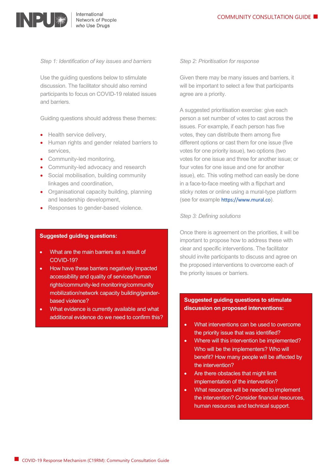

*Step 1: Identification of key issues and barriers*

Use the guiding questions below to stimulate discussion. The facilitator should also remind participants to focus on COVID-19 related issues and barriers.

Guiding questions should address these themes:

- Health service delivery.
- Human rights and gender related barriers to services,
- Community-led monitoring,
- Community-led advocacy and research
- Social mobilisation, building community linkages and coordination,
- Organisational capacity building, planning and leadership development,
- Responses to gender-based violence.

#### **Suggested guiding questions:**

- What are the main barriers as a result of COVID-19?
- How have these barriers negatively impacted accessibility and quality of services/human rights/community-led monitoring/community mobilization/network capacity building/genderbased violence?
- What evidence is currently available and what additional evidence do we need to confirm this?

#### *Step 2: Prioritisation for response*

Given there may be many issues and barriers, it will be important to select a few that participants agree are a priority.

A suggested prioritisation exercise: give each person a set number of votes to cast across the issues. For example, if each person has five votes, they can distribute them among five different options or cast them for one issue (five votes for one priority issue), two options (two votes for one issue and three for another issue; or four votes for one issue and one for another issue), etc. This voting method can easily be done in a face-to-face meeting with a flipchart and sticky notes or online using a mural-type platform (see for example [https://www.mural.co](https://www.mural.co/)).

#### *Step 3: Defining solutions*

Once there is agreement on the priorities, it will be important to propose how to address these with clear and specific interventions. The facilitator should invite participants to discuss and agree on the proposed interventions to overcome each of the priority issues or barriers.

#### **Suggested guiding questions to stimulate discussion on proposed interventions:**

- What interventions can be used to overcome the priority issue that was identified?
- Where will this intervention be implemented? Who will be the implementers? Who will benefit? How many people will be affected by the intervention?
- Are there obstacles that might limit implementation of the intervention?
- What resources will be needed to implement the intervention? Consider financial resources, human resources and technical support.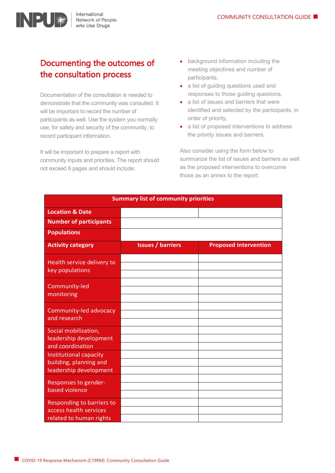

## Documenting the outcomes of the consultation process

Documentation of the consultation is needed to demonstrate that the community was consulted. It will be important to record the number of participants as well. Use the system you normally use, for safety and security of the community, to record participant information.

It will be important to prepare a report with community inputs and priorities. The report should not exceed 6 pages and should include:

- background information including the meeting objectives and number of participants,
- a list of guiding questions used and responses to those guiding questions,
- a list of issues and barriers that were identified and selected by the participants, in order of priority,
- a list of proposed interventions to address the priority issues and barriers.

Also consider using the form below to summarize the list of issues and barriers as well as the proposed interventions to overcome those as an annex to the report.

| <b>Summary list of community priorities</b>                                    |                          |                              |
|--------------------------------------------------------------------------------|--------------------------|------------------------------|
| <b>Location &amp; Date</b>                                                     |                          |                              |
| <b>Number of participants</b>                                                  |                          |                              |
| <b>Populations</b>                                                             |                          |                              |
| <b>Activity category</b>                                                       | <b>Issues / barriers</b> | <b>Proposed intervention</b> |
| Health service delivery to<br>key populations                                  |                          |                              |
| Community-led<br>monitoring                                                    |                          |                              |
| Community-led advocacy<br>and research                                         |                          |                              |
| Social mobilization,<br>leadership development<br>and coordination             |                          |                              |
| Institutional capacity<br>building, planning and<br>leadership development     |                          |                              |
| Responses to gender-<br>based violence                                         |                          |                              |
| Responding to barriers to<br>access health services<br>related to human rights |                          |                              |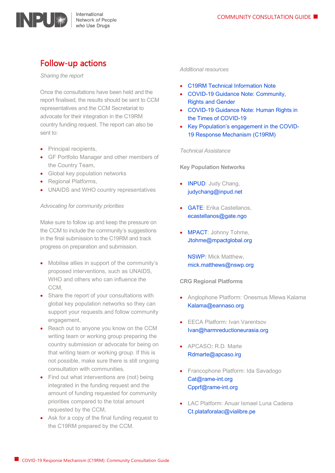

### Follow-up actions

*Sharing the report*

Once the consultations have been held and the report finalised, the results should be sent to CCM representatives and the CCM Secretariat to advocate for their integration in the C19RM country funding request. The report can also be sent to:

- Principal recipients,
- GF Portfolio Manager and other members of the Country Team,
- Global key population networks
- Regional Platforms,
- UNAIDS and WHO country representatives

#### *Advocating for community priorities*

Make sure to follow up and keep the pressure on the CCM to include the community's suggestions in the final submission to the C19RM and track progress on preparation and submission.

- Mobilise allies in support of the community's proposed interventions, such as UNAIDS, WHO and others who can influence the CCM,
- Share the report of your consultations with global key population networks so they can support your requests and follow community engagement,
- Reach out to anyone you know on the CCM writing team or working group preparing the country submission or advocate for being on that writing team or working group. If this is not possible, make sure there is still ongoing consultation with communities,
- Find out what interventions are (not) being integrated in the funding request and the amount of funding requested for community priorities compared to the total amount requested by the CCM,
- Ask for a copy of the final funding request to the C19RM prepared by the CCM.

#### *Additional resources*

- [C19RM Technical Information Note](https://www.theglobalfund.org/media/10749/covid19_c19rm-technical_informationnote_en.pdf)
- [COVID-19 Guidance Note: Community,](https://www.theglobalfund.org/media/9648/covid19_communityrightsgender_guidancenote_en.pdf)  [Rights and Gender](https://www.theglobalfund.org/media/9648/covid19_communityrightsgender_guidancenote_en.pdf)
- [COVID-19 Guidance Note: Human Rights in](https://www.theglobalfund.org/media/9538/covid19_humanrights_guidancenote_en.pdf?u=637250619960000000)  [the Times of COVID-19](https://www.theglobalfund.org/media/9538/covid19_humanrights_guidancenote_en.pdf?u=637250619960000000)
- [Key Population's engagement in the COVID-](https://gate.ngo/kp-engagement-c19rm/)[19 Response Mechanism \(C19RM\)](https://gate.ngo/kp-engagement-c19rm/)

*Technical Assistance*

**Key Population Networks**

- **[INPUD:](https://www.inpud.net/)** Judy Chang, [judychang@inpud.net](mailto:judychang@inpud.net)
- [GATE:](https://gate.ngo/) Erika Castellanos, [ecastellanos@gate.ngo](mailto:ecastellanos@gate.ngo)
- [MPACT:](https://mpactglobal.org/) Johnny Tohme, [Jtohme@mpactglobal.org](mailto:Jtohme@mpactglobal.org)

[NSWP](https://www.nswp.org/)**:** Mick Matthew, [mick.matthews@nswp.org](mailto:mick.matthews@nswp.org)

**CRG Regional Platforms**

- Anglophone Platform: Onesmus Mlewa Kalama [Kalama@eannaso.org](mailto:Kalama@eannaso.org)
- EECA Platform: Ivan Varentsov [Ivan@harmreductioneurasia.org](mailto:Ivan@harmreductioneurasia.org)
- APCASO**:** R.D. Marte [Rdmarte@apcaso.irg](mailto:Rdmarte@apcaso.irg)
- Francophone Platform: Ida Savadogo [Cat@rame-int.org](mailto:Cat@rame-int.org) [Cpprf@rame-int.org](mailto:Cpprf@rame-int.org)
- LAC Platform: Anuar Ismael Luna Cadena [Ct.plataforalac@vialibre.pe](mailto:Ct.plataforalac@vialibre.pe)